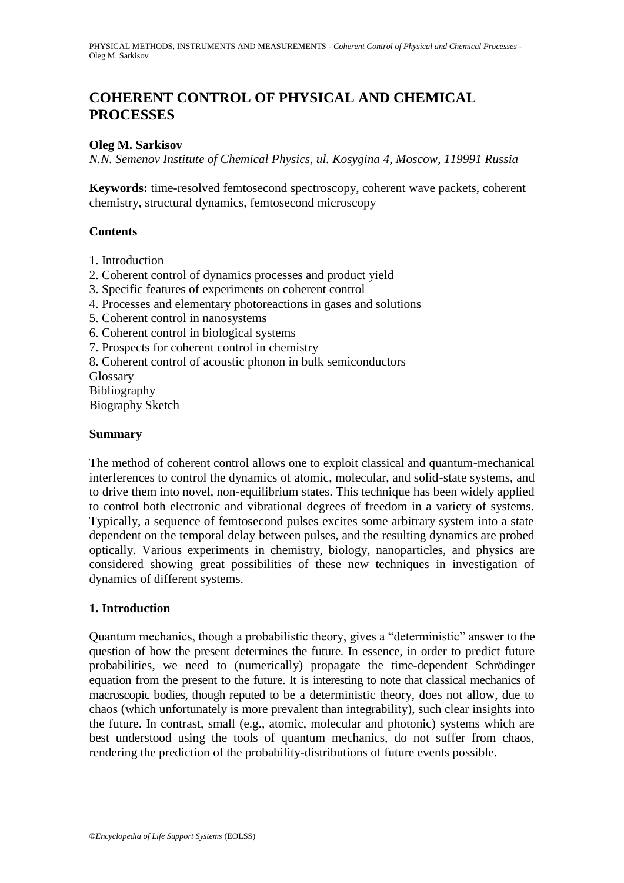# **COHERENT CONTROL OF PHYSICAL AND CHEMICAL PROCESSES**

### **Oleg M. Sarkisov**

*N.N. Semenov Institute of Chemical Physics, ul. Kosygina 4, Moscow, 119991 Russia*

**Keywords:** time-resolved femtosecond spectroscopy, coherent wave packets, coherent chemistry, structural dynamics, femtosecond microscopy

### **Contents**

- 1. Introduction
- 2. Coherent control of dynamics processes and product yield
- 3. Specific features of experiments on coherent control
- 4. Processes and elementary photoreactions in gases and solutions
- 5. Coherent control in nanosystems
- 6. Coherent control in biological systems
- 7. Prospects for coherent control in chemistry
- 8. Coherent control of acoustic phonon in bulk semiconductors

Glossary Bibliography Biography Sketch

### **Summary**

The method of coherent control allows one to exploit classical and quantum-mechanical interferences to control the dynamics of atomic, molecular, and solid-state systems, and to drive them into novel, non-equilibrium states. This technique has been widely applied to control both electronic and vibrational degrees of freedom in a variety of systems. Typically, a sequence of femtosecond pulses excites some arbitrary system into a state dependent on the temporal delay between pulses, and the resulting dynamics are probed optically. Various experiments in chemistry, biology, nanoparticles, and physics are considered showing great possibilities of these new techniques in investigation of dynamics of different systems.

# **1. Introduction**

Quantum mechanics, though a probabilistic theory, gives a "deterministic" answer to the question of how the present determines the future. In essence, in order to predict future probabilities, we need to (numerically) propagate the time-dependent Schrödinger equation from the present to the future. It is interesting to note that classical mechanics of macroscopic bodies, though reputed to be a deterministic theory, does not allow, due to chaos (which unfortunately is more prevalent than integrability), such clear insights into the future. In contrast, small (e.g., atomic, molecular and photonic) systems which are best understood using the tools of quantum mechanics, do not suffer from chaos, rendering the prediction of the probability-distributions of future events possible.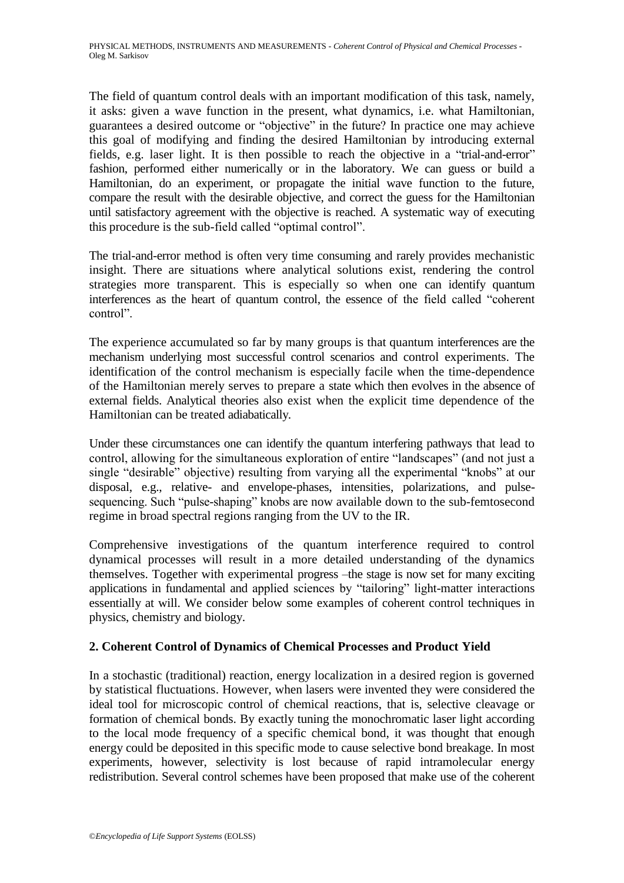The field of quantum control deals with an important modification of this task, namely, it asks: given a wave function in the present, what dynamics, i.e. what Hamiltonian, guarantees a desired outcome or "objective" in the future? In practice one may achieve this goal of modifying and finding the desired Hamiltonian by introducing external fields, e.g. laser light. It is then possible to reach the objective in a "trial-and-error" fashion, performed either numerically or in the laboratory. We can guess or build a Hamiltonian, do an experiment, or propagate the initial wave function to the future, compare the result with the desirable objective, and correct the guess for the Hamiltonian until satisfactory agreement with the objective is reached. A systematic way of executing this procedure is the sub-field called "optimal control".

The trial-and-error method is often very time consuming and rarely provides mechanistic insight. There are situations where analytical solutions exist, rendering the control strategies more transparent. This is especially so when one can identify quantum interferences as the heart of quantum control, the essence of the field called "coherent" control".

The experience accumulated so far by many groups is that quantum interferences are the mechanism underlying most successful control scenarios and control experiments. The identification of the control mechanism is especially facile when the time-dependence of the Hamiltonian merely serves to prepare a state which then evolves in the absence of external fields. Analytical theories also exist when the explicit time dependence of the Hamiltonian can be treated adiabatically.

Under these circumstances one can identify the quantum interfering pathways that lead to control, allowing for the simultaneous exploration of entire "landscapes" (and not just a single "desirable" objective) resulting from varying all the experimental "knobs" at our disposal, e.g., relative- and envelope-phases, intensities, polarizations, and pulsesequencing. Such "pulse-shaping" knobs are now available down to the sub-femtosecond regime in broad spectral regions ranging from the UV to the IR.

Comprehensive investigations of the quantum interference required to control dynamical processes will result in a more detailed understanding of the dynamics themselves. Together with experimental progress –the stage is now set for many exciting applications in fundamental and applied sciences by "tailoring" light-matter interactions essentially at will. We consider below some examples of coherent control techniques in physics, chemistry and biology.

# **2. Coherent Control of Dynamics of Chemical Processes and Product Yield**

In a stochastic (traditional) reaction, energy localization in a desired region is governed by statistical fluctuations. However, when lasers were invented they were considered the ideal tool for microscopic control of chemical reactions, that is, selective cleavage or formation of chemical bonds. By exactly tuning the monochromatic laser light according to the local mode frequency of a specific chemical bond, it was thought that enough energy could be deposited in this specific mode to cause selective bond breakage. In most experiments, however, selectivity is lost because of rapid intramolecular energy redistribution. Several control schemes have been proposed that make use of the coherent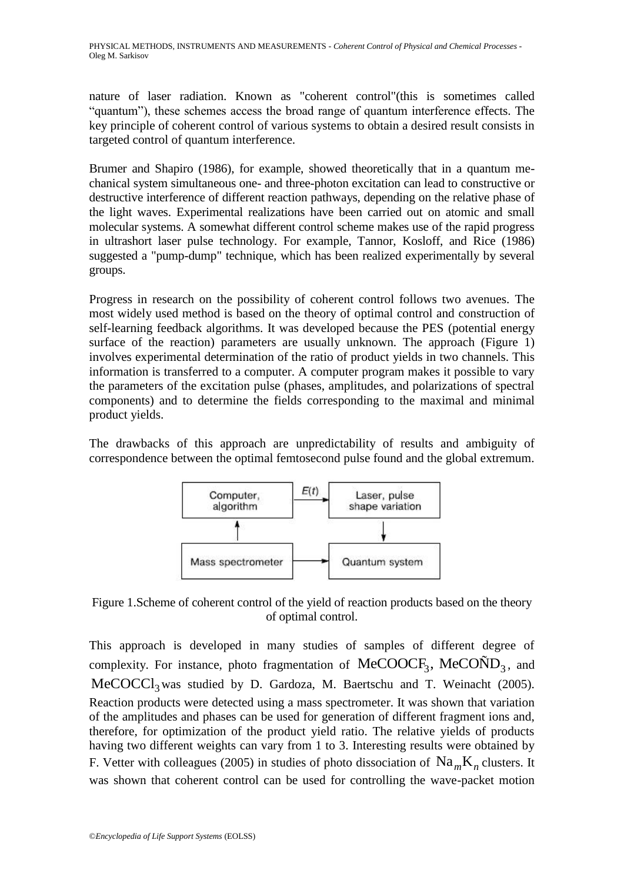nature of laser radiation. Known as "coherent control"(this is sometimes called ―quantum‖), these schemes access the broad range of quantum interference effects. The key principle of coherent control of various systems to obtain a desired result consists in targeted control of quantum interference.

Brumer and Shapiro (1986), for example, showed theoretically that in a quantum mechanical system simultaneous one- and three-photon excitation can lead to constructive or destructive interference of different reaction pathways, depending on the relative phase of the light waves. Experimental realizations have been carried out on atomic and small molecular systems. A somewhat different control scheme makes use of the rapid progress in ultrashort laser pulse technology. For example, Tannor, Kosloff, and Rice (1986) suggested a "pump-dump" technique, which has been realized experimentally by several groups.

Progress in research on the possibility of coherent control follows two avenues. The most widely used method is based on the theory of optimal control and construction of self-learning feedback algorithms. It was developed because the PES (potential energy surface of the reaction) parameters are usually unknown. The approach (Figure 1) involves experimental determination of the ratio of product yields in two channels. This information is transferred to a computer. A computer program makes it possible to vary the parameters of the excitation pulse (phases, amplitudes, and polarizations of spectral components) and to determine the fields corresponding to the maximal and minimal product yields.

The drawbacks of this approach are unpredictability of results and ambiguity of correspondence between the optimal femtosecond pulse found and the global extremum.



Figure 1.Scheme of coherent control of the yield of reaction products based on the theory of optimal control.

This approach is developed in many studies of samples of different degree of This approach is developed in many studies of samples of different degree of complexity. For instance, photo fragmentation of  $MeCOOCF<sub>3</sub>$ ,  $MeCOND<sub>3</sub>$ , and MeCOCCl<sub>3</sub> was studied by D. Gardoza, M. Baertschu and T. Weinacht (2005). Reaction products were detected using a mass spectrometer. It was shown that variation of the amplitudes and phases can be used for generation of different fragment ions and, therefore, for optimization of the product yield ratio. The relative yields of products having two different weights can vary from 1 to 3. Interesting results were obtained by F. Vetter with colleagues (2005) in studies of photo dissociation of  $\text{Na}_{m}\text{K}_{n}$  clusters. It was shown that coherent control can be used for controlling the wave-packet motion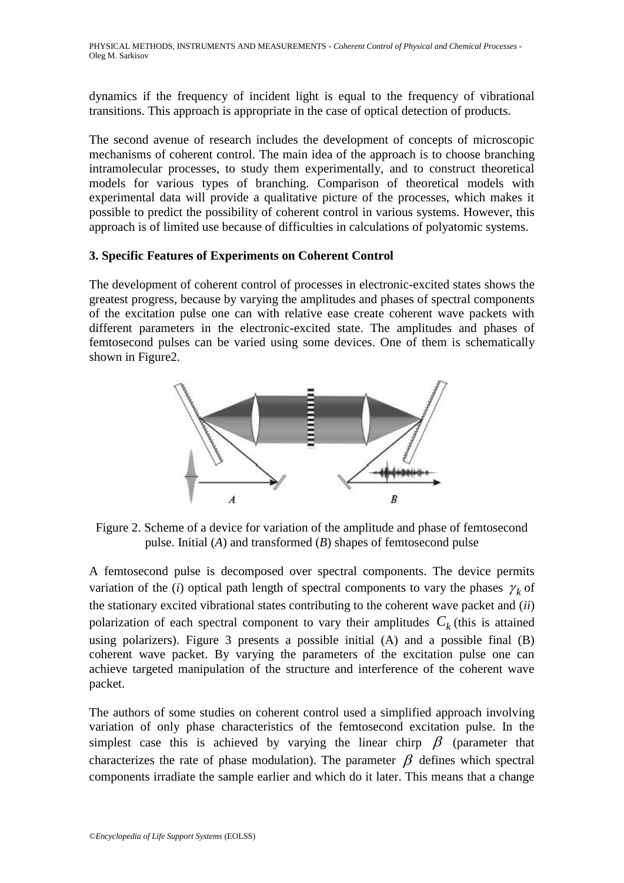dynamics if the frequency of incident light is equal to the frequency of vibrational transitions. This approach is appropriate in the case of optical detection of products.

The second avenue of research includes the development of concepts of microscopic mechanisms of coherent control. The main idea of the approach is to choose branching intramolecular processes, to study them experimentally, and to construct theoretical models for various types of branching. Comparison of theoretical models with experimental data will provide a qualitative picture of the processes, which makes it possible to predict the possibility of coherent control in various systems. However, this approach is of limited use because of difficulties in calculations of polyatomic systems.

### **3. Specific Features of Experiments on Coherent Control**

The development of coherent control of processes in electronic-excited states shows the greatest progress, because by varying the amplitudes and phases of spectral components of the excitation pulse one can with relative ease create coherent wave packets with different parameters in the electronic-excited state. The amplitudes and phases of femtosecond pulses can be varied using some devices. One of them is schematically shown in Figure2.



Figure 2. Scheme of a device for variation of the amplitude and phase of femtosecond pulse. Initial (*A*) and transformed (*B*) shapes of femtosecond pulse

A femtosecond pulse is decomposed over spectral components. The device permits variation of the (*i*) optical path length of spectral components to vary the phases  $\gamma_k$  of the stationary excited vibrational states contributing to the coherent wave packet and (*ii*) polarization of each spectral component to vary their amplitudes  $C_k$  (this is attained using polarizers). Figure 3 presents a possible initial (A) and a possible final (B) coherent wave packet. By varying the parameters of the excitation pulse one can achieve targeted manipulation of the structure and interference of the coherent wave packet.

The authors of some studies on coherent control used a simplified approach involving variation of only phase characteristics of the femtosecond excitation pulse. In the simplest case this is achieved by varying the linear chirp  $\beta$  (parameter that characterizes the rate of phase modulation). The parameter  $\beta$  defines which spectral components irradiate the sample earlier and which do it later. This means that a change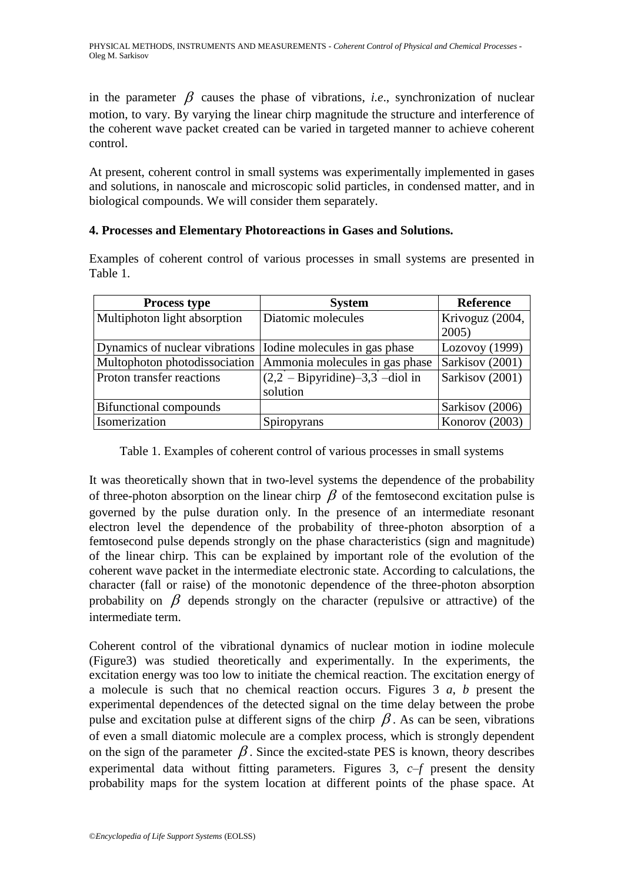in the parameter  $\beta$  causes the phase of vibrations, *i.e.*, synchronization of nuclear motion, to vary. By varying the linear chirp magnitude the structure and interference of the coherent wave packet created can be varied in targeted manner to achieve coherent control.

At present, coherent control in small systems was experimentally implemented in gases and solutions, in nanoscale and microscopic solid particles, in condensed matter, and in biological compounds. We will consider them separately.

# **4. Processes and Elementary Photoreactions in Gases and Solutions.**

Examples of coherent control of various processes in small systems are presented in Table 1.

| <b>Process type</b>                                            | <b>System</b>                     | <b>Reference</b> |
|----------------------------------------------------------------|-----------------------------------|------------------|
| Multiphoton light absorption                                   | Diatomic molecules                | Krivoguz (2004,  |
|                                                                |                                   | 2005             |
| Dynamics of nuclear vibrations   Iodine molecules in gas phase |                                   | Lozovoy (1999)   |
| Multophoton photodissociation                                  | Ammonia molecules in gas phase    | Sarkisov (2001)  |
| Proton transfer reactions                                      | $(2,2 - Bipyridine) -3,3 -diolin$ | Sarkisov (2001)  |
|                                                                | solution                          |                  |
| Bifunctional compounds                                         |                                   | Sarkisov (2006)  |
| Isomerization                                                  | Spiropyrans                       | Konorov (2003)   |

Table 1. Examples of coherent control of various processes in small systems

It was theoretically shown that in two-level systems the dependence of the probability of three-photon absorption on the linear chirp  $\beta$  of the femtosecond excitation pulse is governed by the pulse duration only. In the presence of an intermediate resonant electron level the dependence of the probability of three-photon absorption of a femtosecond pulse depends strongly on the phase characteristics (sign and magnitude) of the linear chirp. This can be explained by important role of the evolution of the coherent wave packet in the intermediate electronic state. According to calculations, the character (fall or raise) of the monotonic dependence of the three-photon absorption probability on  $\beta$  depends strongly on the character (repulsive or attractive) of the intermediate term.

Coherent control of the vibrational dynamics of nuclear motion in iodine molecule (Figure3) was studied theoretically and experimentally. In the experiments, the excitation energy was too low to initiate the chemical reaction. The excitation energy of a molecule is such that no chemical reaction occurs. Figures 3 *a*, *b* present the experimental dependences of the detected signal on the time delay between the probe pulse and excitation pulse at different signs of the chirp  $\beta$ . As can be seen, vibrations of even a small diatomic molecule are a complex process, which is strongly dependent on the sign of the parameter  $\beta$ . Since the excited-state PES is known, theory describes experimental data without fitting parameters. Figures 3, *c–f* present the density probability maps for the system location at different points of the phase space. At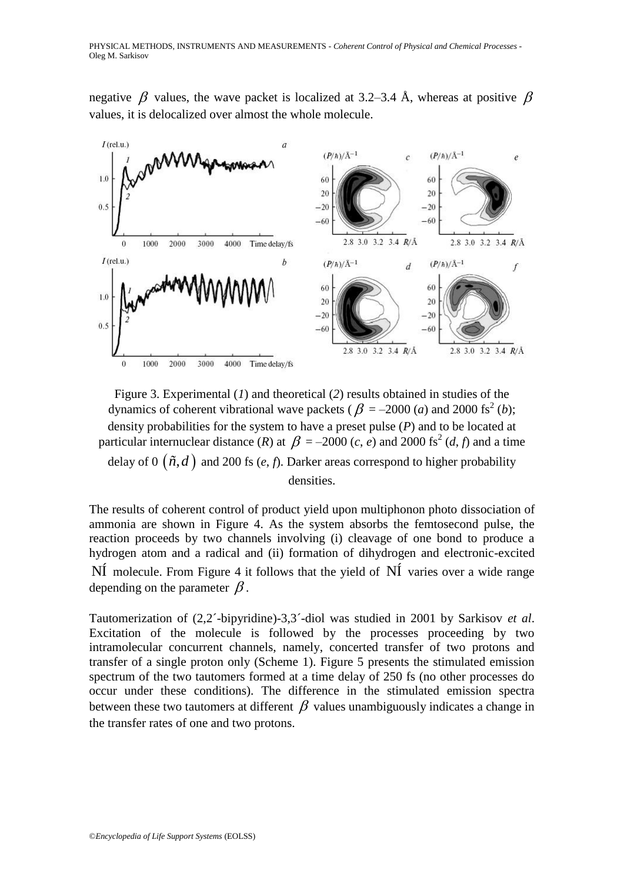negative  $\beta$  values, the wave packet is localized at 3.2–3.4 Å, whereas at positive  $\beta$ values, it is delocalized over almost the whole molecule.



Figure 3. Experimental (*1*) and theoretical (*2*) results obtained in studies of the dynamics of coherent vibrational wave packets ( $\beta$  = -2000 (*a*) and 2000 fs<sup>2</sup> (*b*); density probabilities for the system to have a preset pulse (*P*) and to be located at particular internuclear distance (*R*) at  $\beta = -2000$  (*c*, *e*) and 2000 fs<sup>2</sup> (*d*, *f*) and a time delay of  $0 \left( \tilde{n}, d \right)$  and 200 fs  $(e, f)$ . Darker areas correspond to higher probability densities.

The results of coherent control of product yield upon multiphonon photo dissociation of ammonia are shown in Figure 4. As the system absorbs the femtosecond pulse, the reaction proceeds by two channels involving (i) cleavage of one bond to produce a hydrogen atom and a radical and (ii) formation of dihydrogen and electronic-excited  $N$ I molecule. From Figure 4 it follows that the yield of  $N$ I varies over a wide range depending on the parameter  $\beta$ .

Tautomerization of (2,2´-bipyridine)-3,3´-diol was studied in 2001 by Sarkisov *et al*. Excitation of the molecule is followed by the processes proceeding by two intramolecular concurrent channels, namely, concerted transfer of two protons and transfer of a single proton only (Scheme 1). Figure 5 presents the stimulated emission spectrum of the two tautomers formed at a time delay of 250 fs (no other processes do occur under these conditions). The difference in the stimulated emission spectra between these two tautomers at different  $\beta$  values unambiguously indicates a change in the transfer rates of one and two protons.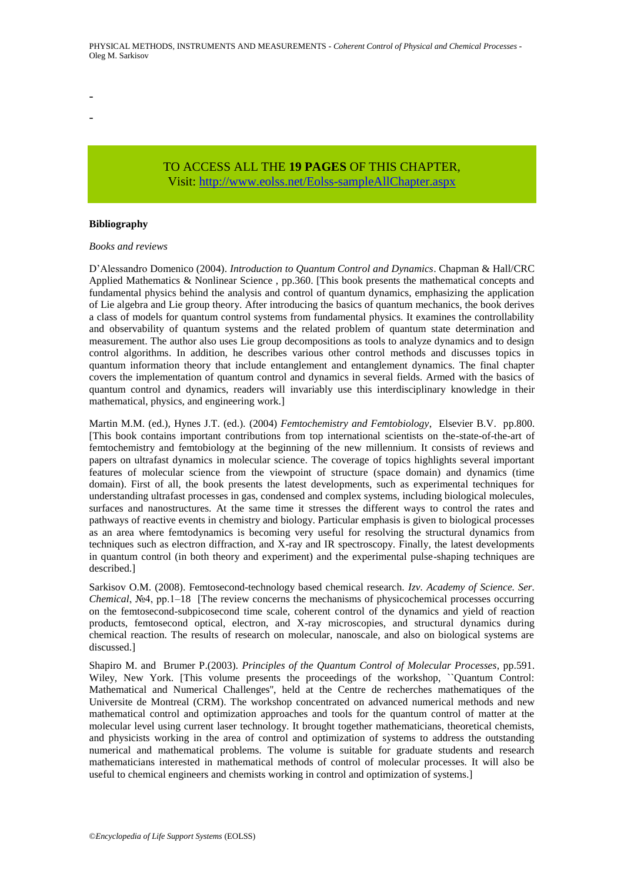TO ACCESS ALL THE **19 PAGES** OF THIS CHAPTER, Visit[: http://www.eolss.net/Eolss-sampleAllChapter.aspx](https://www.eolss.net/ebooklib/sc_cart.aspx?File=E6-08-06-05)

#### **Bibliography**

- -

#### *Books and reviews*

D'Alessandro Domenico (2004). *Introduction to Quantum Control and Dynamics*. Chapman & Hall/CRC Applied Mathematics & Nonlinear Science , pp.360. [This book presents the mathematical concepts and fundamental physics behind the analysis and control of quantum dynamics, emphasizing the application of Lie algebra and Lie group theory. After introducing the basics of quantum mechanics, the book derives a class of models for quantum control systems from fundamental physics. It examines the controllability and observability of quantum systems and the related problem of quantum state determination and measurement. The author also uses Lie group decompositions as tools to analyze dynamics and to design control algorithms. In addition, he describes various other control methods and discusses topics in quantum information theory that include entanglement and entanglement dynamics. The final chapter covers the implementation of quantum control and dynamics in several fields. Armed with the basics of quantum control and dynamics, readers will invariably use this interdisciplinary knowledge in their mathematical, physics, and engineering work.]

Martin M.M. (ed.), Hynes J.T. (ed.). (2004) *Femtochemistry and Femtobiology*, Elsevier B.V. pp.800. [This book contains important contributions from top international scientists on the-state-of-the-art of femtochemistry and femtobiology at the beginning of the new millennium. It consists of reviews and papers on ultrafast dynamics in molecular science. The coverage of topics highlights several important features of molecular science from the viewpoint of structure (space domain) and dynamics (time domain). First of all, the book presents the latest developments, such as experimental techniques for understanding ultrafast processes in gas, condensed and complex systems, including biological molecules, surfaces and nanostructures. At the same time it stresses the different ways to control the rates and pathways of reactive events in chemistry and biology. Particular emphasis is given to biological processes as an area where femtodynamics is becoming very useful for resolving the structural dynamics from techniques such as electron diffraction, and X-ray and IR spectroscopy. Finally, the latest developments in quantum control (in both theory and experiment) and the experimental pulse-shaping techniques are described.]

Sarkisov O.M. (2008). Femtosecond-technology based chemical research. *Izv. Academy of Science. Ser. Chemical*, №4, pp.1–18 [The review concerns the mechanisms of physicochemical processes occurring on the femtosecond-subpicosecond time scale, coherent control of the dynamics and yield of reaction products, femtosecond optical, electron, and X-ray microscopies, and structural dynamics during chemical reaction. The results of research on molecular, nanoscale, and also on biological systems are discussed.]

Shapiro M. and Brumer P.(2003). *Principles of the Quantum Control of Molecular Processes*, pp.591. Wiley, New York. [This volume presents the proceedings of the workshop, ``Quantum Control: Mathematical and Numerical Challenges'', held at the Centre de recherches mathematiques of the Universite de Montreal (CRM). The workshop concentrated on advanced numerical methods and new mathematical control and optimization approaches and tools for the quantum control of matter at the molecular level using current laser technology. It brought together mathematicians, theoretical chemists, and physicists working in the area of control and optimization of systems to address the outstanding numerical and mathematical problems. The volume is suitable for graduate students and research mathematicians interested in mathematical methods of control of molecular processes. It will also be useful to chemical engineers and chemists working in control and optimization of systems.]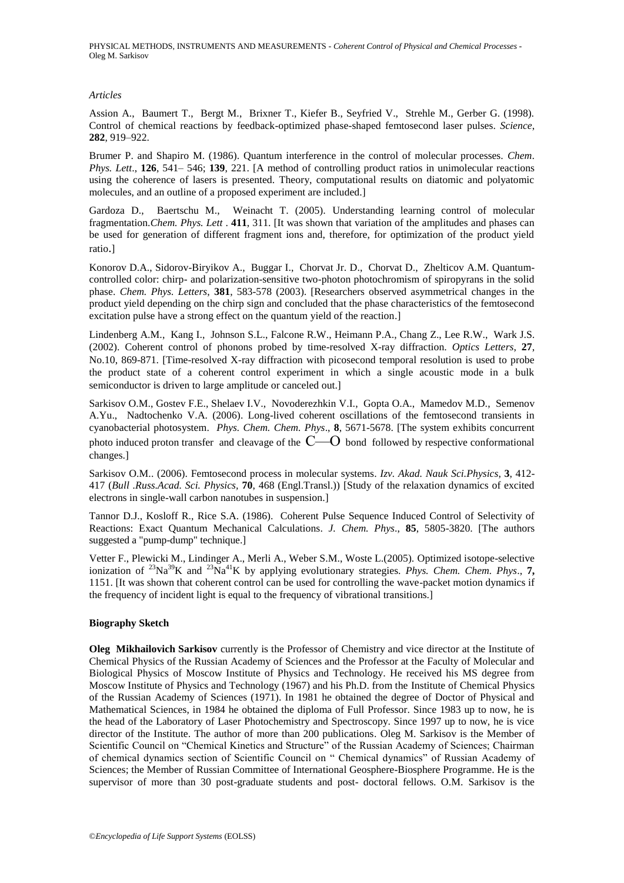PHYSICAL METHODS, INSTRUMENTS AND MEASUREMENTS - *Coherent Control of Physical and Chemical Processes* - Oleg M. Sarkisov

#### *Articles*

Assion A., Baumert T., Bergt M., Brixner T., Kiefer B., Seyfried V., Strehle M., Gerber G. (1998). Control of chemical reactions by feedback-optimized phase-shaped femtosecond laser pulses. *Science*, **282**, 919–922.

Brumer P. and Shapiro M. (1986). Quantum interference in the control of molecular processes. *Chem*. *Phys. Lett*., **126**, 541– 546; **139**, 221. [A method of controlling product ratios in unimolecular reactions using the coherence of lasers is presented. Theory, computational results on diatomic and polyatomic molecules, and an outline of a proposed experiment are included.]

Gardoza D., Baertschu M., Weinacht T. (2005). Understanding learning control of molecular fragmentation.*Chem. Phys. Lett* . **411**, 311. [It was shown that variation of the amplitudes and phases can be used for generation of different fragment ions and, therefore, for optimization of the product yield ratio.]

Konorov D.A., Sidorov-Biryikov A., Buggar I., Chorvat Jr. D., Chorvat D., Zhelticov A.M. Quantumcontrolled color: chirp- and polarization-sensitive two-photon photochromism of spiropyrans in the solid phase. *Chem. Phys. Letters*, **381**, 583-578 (2003). [Researchers observed asymmetrical changes in the product yield depending on the chirp sign and concluded that the phase characteristics of the femtosecond excitation pulse have a strong effect on the quantum yield of the reaction.]

Lindenberg A.M., Kang I., Johnson S.L., Falcone R.W., Heimann P.A., Chang Z., Lee R.W., Wark J.S. (2002). Coherent control of phonons probed by time-resolved X-ray diffraction. *Optics Letters*, **27**, No.10, 869-871. [Time-resolved X-ray diffraction with picosecond temporal resolution is used to probe the product state of a coherent control experiment in which a single acoustic mode in a bulk semiconductor is driven to large amplitude or canceled out.]

Sarkisov O.M., Gostev F.E., Shelaev I.V., Novoderezhkin V.I., Gopta O.A., Mamedov M.D., Semenov A.Yu., Nadtochenko V.A. (2006). Long-lived coherent oscillations of the femtosecond transients in cyanobacterial photosystem. *Phys. Chem. Chem. Phys*., **8**, 5671-5678. [The system exhibits concurrent photo induced proton transfer and cleavage of the  $C$ — $O$  bond followed by respective conformational changes.]

Sarkisov O.M.. (2006). Femtosecond process in molecular systems. *Izv. Akad. Nauk Sci.Physics*, **3**, 412- 417 (*Bull .Russ.Acad. Sci. Physics,* **70**, 468 (Engl.Transl.)) [Study of the relaxation dynamics of excited electrons in single-wall carbon nanotubes in suspension.]

Tannor D.J., Kosloff R., Rice S.A. (1986). Coherent Pulse Sequence Induced Control of Selectivity of Reactions: Exact Quantum Mechanical Calculations. *J. Chem. Phys*., **85**, 5805-3820. [The authors suggested a "pump-dump" technique.]

Vetter F., Plewicki M., Lindinger A., Merli A., Weber S.M., Woste L.(2005). Optimized isotope-selective ionization of <sup>23</sup>Na<sup>39</sup>K and <sup>23</sup>Na<sup>41</sup>K by applying evolutionary strategies. *Phys. Chem. Chem. Phys*., **7,** 1151. [It was shown that coherent control can be used for controlling the wave-packet motion dynamics if the frequency of incident light is equal to the frequency of vibrational transitions.]

#### **Biography Sketch**

**Oleg Mikhailovich Sarkisov** currently is the Professor of Chemistry and vice director at the Institute of Chemical Physics of the Russian Academy of Sciences and the Professor at the Faculty of Molecular and Biological Physics of Moscow Institute of Physics and Technology. He received his MS degree from Moscow Institute of Physics and Technology (1967) and his Ph.D. from the Institute of Chemical Physics of the Russian Academy of Sciences (1971). In 1981 he obtained the degree of Doctor of Physical and Mathematical Sciences, in 1984 he obtained the diploma of Full Professor. Since 1983 up to now, he is the head of the Laboratory of Laser Photochemistry and Spectroscopy. Since 1997 up to now, he is vice director of the Institute. The author of more than 200 publications. Oleg M. Sarkisov is the Member of Scientific Council on "Chemical Kinetics and Structure" of the Russian Academy of Sciences; Chairman of chemical dynamics section of Scientific Council on " Chemical dynamics" of Russian Academy of Sciences; the Member of Russian Committee of International Geosphere-Biosphere Programme. He is the supervisor of more than 30 post-graduate students and post- doctoral fellows. O.M. Sarkisov is the